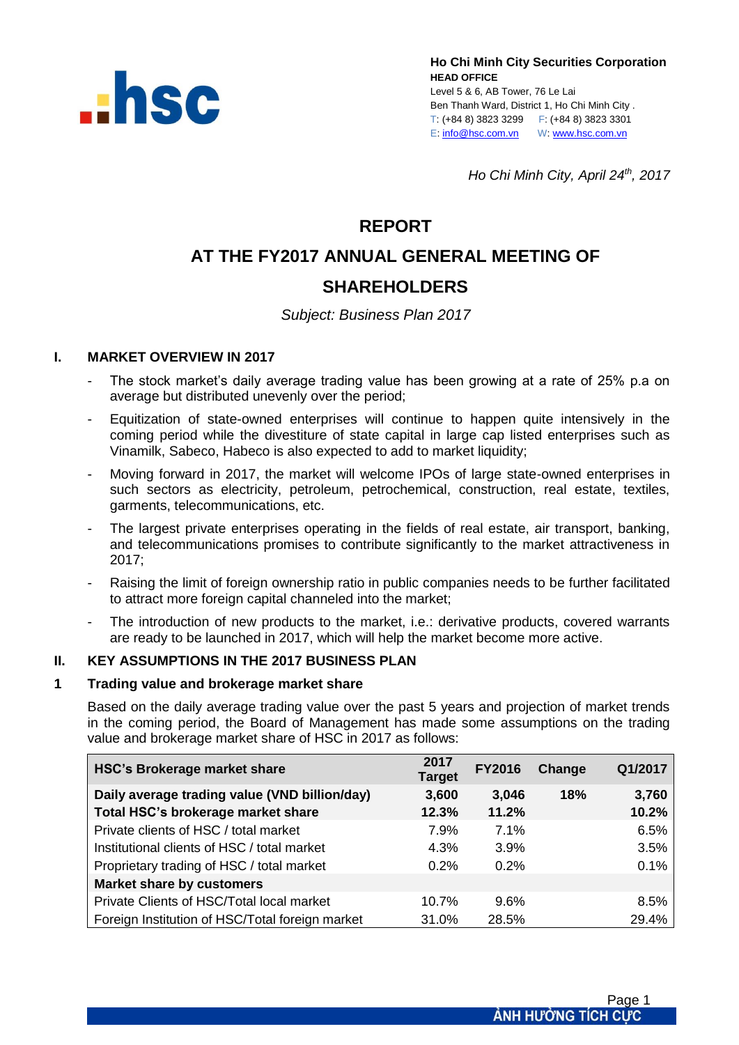

**Ho Chi Minh City Securities Corporation HEAD OFFICE** Level 5 & 6, AB Tower, 76 Le Lai Ben Thanh Ward, District 1, Ho Chi Minh City . T: (+84 8) 3823 3299 F: (+84 8) 3823 3301 E[: info@hsc.com.vn](mailto:info@hsc.com.vn) W[: www.hsc.com.vn](http://www.hsc.com.vn/)

*Ho Chi Minh City, April 24th, 2017*

## **REPORT**

# **AT THE FY2017 ANNUAL GENERAL MEETING OF SHAREHOLDERS**

## *Subject: Business Plan 2017*

#### **I. MARKET OVERVIEW IN 2017**

- The stock market's daily average trading value has been growing at a rate of 25% p.a on average but distributed unevenly over the period;
- Equitization of state-owned enterprises will continue to happen quite intensively in the coming period while the divestiture of state capital in large cap listed enterprises such as Vinamilk, Sabeco, Habeco is also expected to add to market liquidity;
- Moving forward in 2017, the market will welcome IPOs of large state-owned enterprises in such sectors as electricity, petroleum, petrochemical, construction, real estate, textiles, garments, telecommunications, etc.
- The largest private enterprises operating in the fields of real estate, air transport, banking, and telecommunications promises to contribute significantly to the market attractiveness in 2017;
- Raising the limit of foreign ownership ratio in public companies needs to be further facilitated to attract more foreign capital channeled into the market;
- The introduction of new products to the market, i.e.: derivative products, covered warrants are ready to be launched in 2017, which will help the market become more active.

### **II. KEY ASSUMPTIONS IN THE 2017 BUSINESS PLAN**

#### **1 Trading value and brokerage market share**

Based on the daily average trading value over the past 5 years and projection of market trends in the coming period, the Board of Management has made some assumptions on the trading value and brokerage market share of HSC in 2017 as follows:

| HSC's Brokerage market share                    | 2017<br><b>Target</b> | <b>FY2016</b> | Change | Q1/2017 |
|-------------------------------------------------|-----------------------|---------------|--------|---------|
| Daily average trading value (VND billion/day)   | 3,600                 | 3,046         | 18%    | 3,760   |
| Total HSC's brokerage market share              | 12.3%                 | 11.2%         |        | 10.2%   |
| Private clients of HSC / total market           | 7.9%                  | 7.1%          |        | 6.5%    |
| Institutional clients of HSC / total market     | 4.3%                  | 3.9%          |        | 3.5%    |
| Proprietary trading of HSC / total market       | 0.2%                  | 0.2%          |        | 0.1%    |
| <b>Market share by customers</b>                |                       |               |        |         |
| Private Clients of HSC/Total local market       | 10.7%                 | 9.6%          |        | 8.5%    |
| Foreign Institution of HSC/Total foreign market | 31.0%                 | 28.5%         |        | 29.4%   |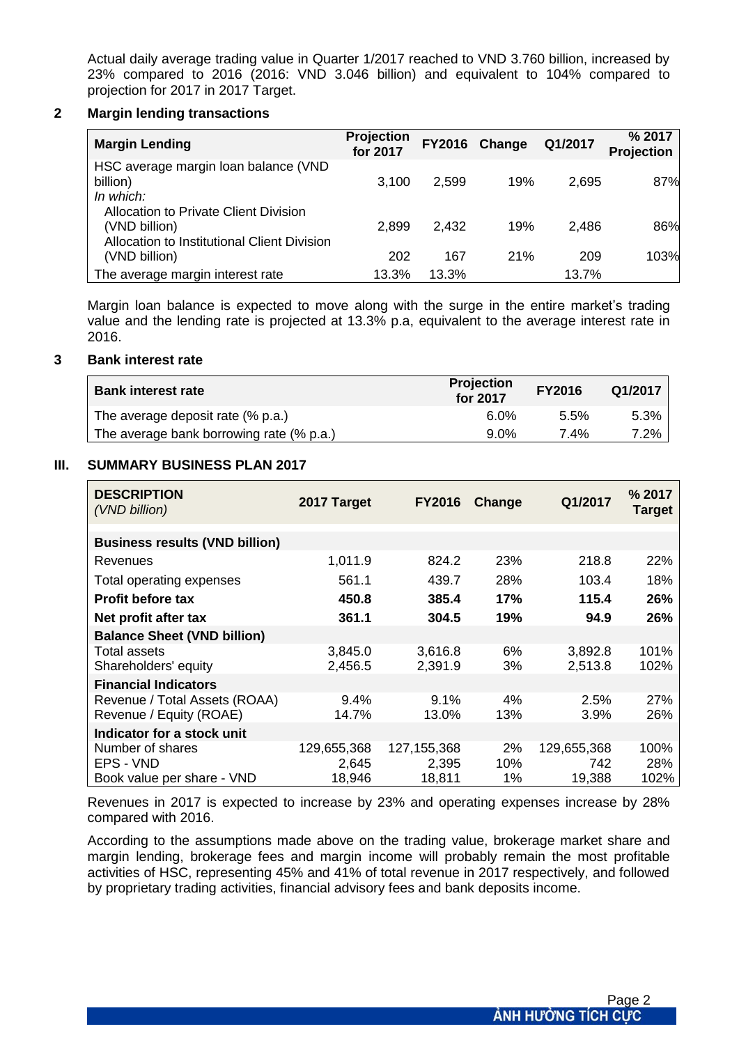Actual daily average trading value in Quarter 1/2017 reached to VND 3.760 billion, increased by 23% compared to 2016 (2016: VND 3.046 billion) and equivalent to 104% compared to projection for 2017 in 2017 Target.

#### **2 Margin lending transactions**

| <b>Margin Lending</b>                                                                                        | <b>Projection</b><br>for 2017 | <b>FY2016</b> | Change | Q1/2017 | % 2017<br><b>Projection</b> |
|--------------------------------------------------------------------------------------------------------------|-------------------------------|---------------|--------|---------|-----------------------------|
| HSC average margin loan balance (VND<br>billion)<br>In which:                                                | 3.100                         | 2,599         | 19%    | 2,695   | 87%                         |
| <b>Allocation to Private Client Division</b><br>(VND billion)<br>Allocation to Institutional Client Division | 2,899                         | 2.432         | 19%    | 2,486   | 86%                         |
| (VND billion)                                                                                                | 202                           | 167           | 21%    | 209     | 103%                        |
| The average margin interest rate                                                                             | 13.3%                         | 13.3%         |        | 13.7%   |                             |

Margin loan balance is expected to move along with the surge in the entire market's trading value and the lending rate is projected at 13.3% p.a, equivalent to the average interest rate in 2016.

#### **3 Bank interest rate**

| <b>Bank interest rate</b>                | <b>Projection</b><br>for 2017 | <b>FY2016</b> | Q1/2017 |
|------------------------------------------|-------------------------------|---------------|---------|
| The average deposit rate $(\%$ p.a.)     | $6.0\%$                       | 5.5%          | 5.3%    |
| The average bank borrowing rate (% p.a.) | $9.0\%$                       | 7.4%          | 7.2%    |

#### **III. SUMMARY BUSINESS PLAN 2017**

| <b>DESCRIPTION</b><br>(VND billion)   | 2017 Target | <b>FY2016</b> | Change | Q1/2017     | % 2017<br>Target |
|---------------------------------------|-------------|---------------|--------|-------------|------------------|
| <b>Business results (VND billion)</b> |             |               |        |             |                  |
| Revenues                              | 1,011.9     | 824.2         | 23%    | 218.8       | 22%              |
| Total operating expenses              | 561.1       | 439.7         | 28%    | 103.4       | 18%              |
| <b>Profit before tax</b>              | 450.8       | 385.4         | 17%    | 115.4       | 26%              |
| Net profit after tax                  | 361.1       | 304.5         | 19%    | 94.9        | 26%              |
| <b>Balance Sheet (VND billion)</b>    |             |               |        |             |                  |
| <b>Total assets</b>                   | 3,845.0     | 3,616.8       | 6%     | 3,892.8     | 101%             |
| Shareholders' equity                  | 2,456.5     | 2,391.9       | 3%     | 2,513.8     | 102%             |
| <b>Financial Indicators</b>           |             |               |        |             |                  |
| Revenue / Total Assets (ROAA)         | 9.4%        | $9.1\%$       | 4%     | 2.5%        | 27%              |
| Revenue / Equity (ROAE)               | 14.7%       | 13.0%         | 13%    | 3.9%        | 26%              |
| Indicator for a stock unit            |             |               |        |             |                  |
| Number of shares                      | 129,655,368 | 127, 155, 368 | 2%     | 129,655,368 | 100%             |
| EPS - VND                             | 2,645       | 2,395         | 10%    | 742         | 28%              |
| Book value per share - VND            | 18,946      | 18,811        | 1%     | 19,388      | 102%             |

Revenues in 2017 is expected to increase by 23% and operating expenses increase by 28% compared with 2016.

According to the assumptions made above on the trading value, brokerage market share and margin lending, brokerage fees and margin income will probably remain the most profitable activities of HSC, representing 45% and 41% of total revenue in 2017 respectively, and followed by proprietary trading activities, financial advisory fees and bank deposits income.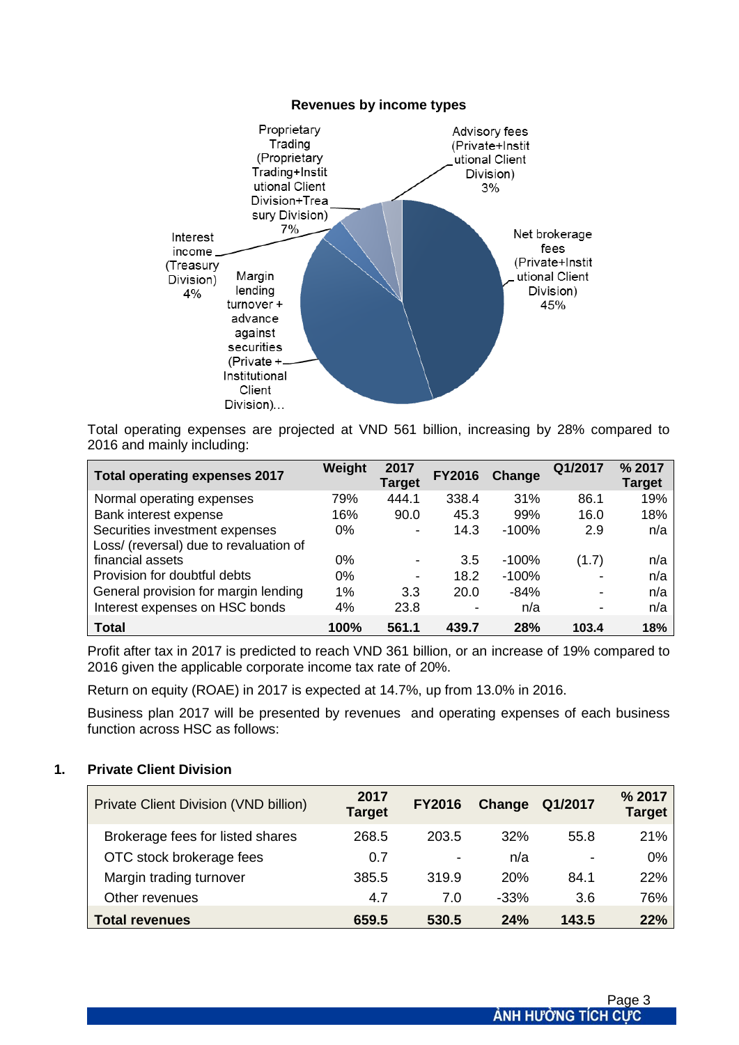#### **Revenues by income types**



Total operating expenses are projected at VND 561 billion, increasing by 28% compared to 2016 and mainly including:

| <b>Total operating expenses 2017</b>   | Weight | 2017<br><b>Target</b> | <b>FY2016</b>            | Change   | Q1/2017        | % 2017<br>Target |
|----------------------------------------|--------|-----------------------|--------------------------|----------|----------------|------------------|
| Normal operating expenses              | 79%    | 444.1                 | 338.4                    | 31%      | 86.1           | 19%              |
| Bank interest expense                  | 16%    | 90.0                  | 45.3                     | 99%      | 16.0           | 18%              |
| Securities investment expenses         | $0\%$  |                       | 14.3                     | $-100\%$ | 2.9            | n/a              |
| Loss/ (reversal) due to revaluation of |        |                       |                          |          |                |                  |
| financial assets                       | $0\%$  |                       | 3.5                      | $-100%$  | (1.7)          | n/a              |
| Provision for doubtful debts           | $0\%$  |                       | 18.2                     | $-100%$  |                | n/a              |
| General provision for margin lending   | 1%     | 3.3                   | 20.0                     | $-84%$   | $\blacksquare$ | n/a              |
| Interest expenses on HSC bonds         | 4%     | 23.8                  | $\overline{\phantom{0}}$ | n/a      | $\blacksquare$ | n/a              |
| Total                                  | 100%   | 561.1                 | 439.7                    | 28%      | 103.4          | 18%              |

Profit after tax in 2017 is predicted to reach VND 361 billion, or an increase of 19% compared to 2016 given the applicable corporate income tax rate of 20%.

Return on equity (ROAE) in 2017 is expected at 14.7%, up from 13.0% in 2016.

Business plan 2017 will be presented by revenues and operating expenses of each business function across HSC as follows:

| <b>Private Client Division (VND billion)</b> | 2017<br><b>Target</b> | <b>FY2016</b> | Change | Q1/2017        | % 2017<br><b>Target</b> |
|----------------------------------------------|-----------------------|---------------|--------|----------------|-------------------------|
| Brokerage fees for listed shares             | 268.5                 | 203.5         | 32%    | 55.8           | 21%                     |
| OTC stock brokerage fees                     | 0.7                   |               | n/a    | $\blacksquare$ | 0%                      |
| Margin trading turnover                      | 385.5                 | 319.9         | 20%    | 84.1           | 22%                     |
| Other revenues                               | 4.7                   | 7.0           | $-33%$ | 3.6            | 76%                     |
| <b>Total revenues</b>                        | 659.5                 | 530.5         | 24%    | 143.5          | 22%                     |

#### **1. Private Client Division**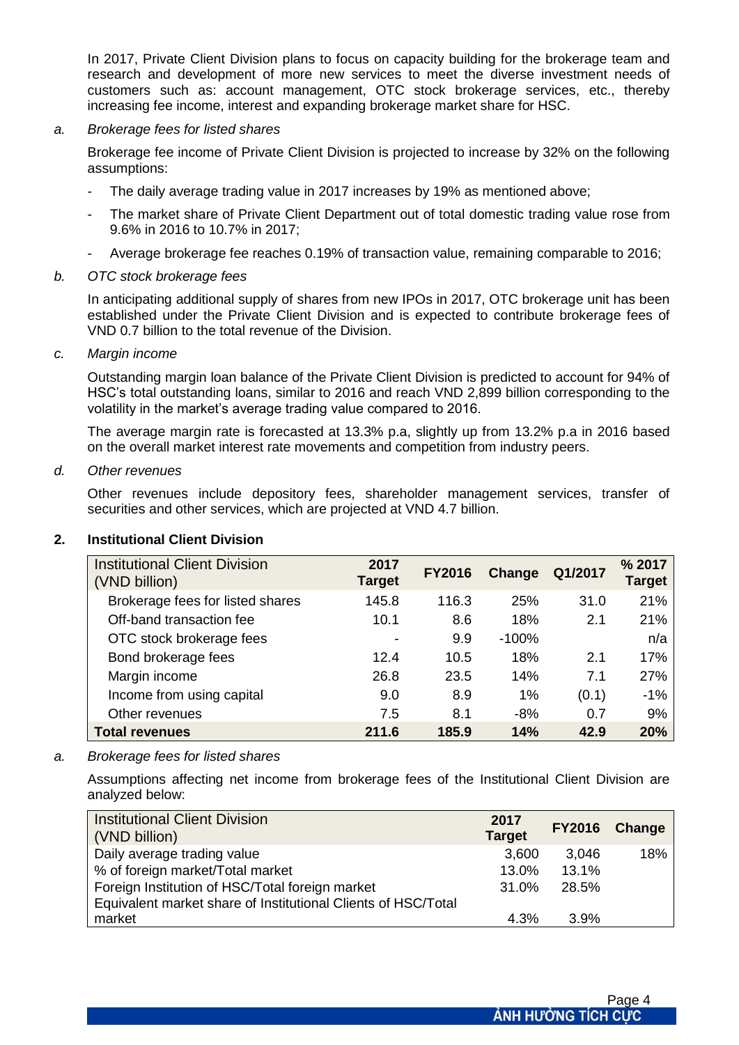In 2017, Private Client Division plans to focus on capacity building for the brokerage team and research and development of more new services to meet the diverse investment needs of customers such as: account management, OTC stock brokerage services, etc., thereby increasing fee income, interest and expanding brokerage market share for HSC.

*a. Brokerage fees for listed shares*

Brokerage fee income of Private Client Division is projected to increase by 32% on the following assumptions:

- The daily average trading value in 2017 increases by 19% as mentioned above;
- The market share of Private Client Department out of total domestic trading value rose from 9.6% in 2016 to 10.7% in 2017;
- Average brokerage fee reaches 0.19% of transaction value, remaining comparable to 2016;

#### *b. OTC stock brokerage fees*

In anticipating additional supply of shares from new IPOs in 2017, OTC brokerage unit has been established under the Private Client Division and is expected to contribute brokerage fees of VND 0.7 billion to the total revenue of the Division.

#### *c. Margin income*

Outstanding margin loan balance of the Private Client Division is predicted to account for 94% of HSC's total outstanding loans, similar to 2016 and reach VND 2,899 billion corresponding to the volatility in the market's average trading value compared to 2016.

The average margin rate is forecasted at 13.3% p.a, slightly up from 13.2% p.a in 2016 based on the overall market interest rate movements and competition from industry peers.

#### *d. Other revenues*

Other revenues include depository fees, shareholder management services, transfer of securities and other services, which are projected at VND 4.7 billion.

| <b>Institutional Client Division</b><br>(VND billion) | 2017<br><b>Target</b>    | <b>FY2016</b> | Change  | Q1/2017 | % 2017<br>Target |
|-------------------------------------------------------|--------------------------|---------------|---------|---------|------------------|
| Brokerage fees for listed shares                      | 145.8                    | 116.3         | 25%     | 31.0    | 21%              |
| Off-band transaction fee                              | 10.1                     | 8.6           | 18%     | 2.1     | 21%              |
| OTC stock brokerage fees                              | $\overline{\phantom{0}}$ | 9.9           | $-100%$ |         | n/a              |
| Bond brokerage fees                                   | 12.4                     | 10.5          | 18%     | 2.1     | 17%              |
| Margin income                                         | 26.8                     | 23.5          | 14%     | 7.1     | 27%              |
| Income from using capital                             | 9.0                      | 8.9           | 1%      | (0.1)   | $-1%$            |
| Other revenues                                        | 7.5                      | 8.1           | $-8%$   | 0.7     | 9%               |
| <b>Total revenues</b>                                 | 211.6                    | 185.9         | 14%     | 42.9    | 20%              |

#### **2. Institutional Client Division**

#### *a. Brokerage fees for listed shares*

Assumptions affecting net income from brokerage fees of the Institutional Client Division are analyzed below:

| <b>Institutional Client Division</b><br>(VND billion)         | 2017<br><b>Target</b> |       | FY2016 Change |
|---------------------------------------------------------------|-----------------------|-------|---------------|
| Daily average trading value                                   | 3,600                 | 3,046 | 18%           |
| % of foreign market/Total market                              | 13.0%                 | 13.1% |               |
| Foreign Institution of HSC/Total foreign market               | $31.0\%$              | 28.5% |               |
| Equivalent market share of Institutional Clients of HSC/Total |                       |       |               |
| market                                                        | 4.3%                  | 3.9%  |               |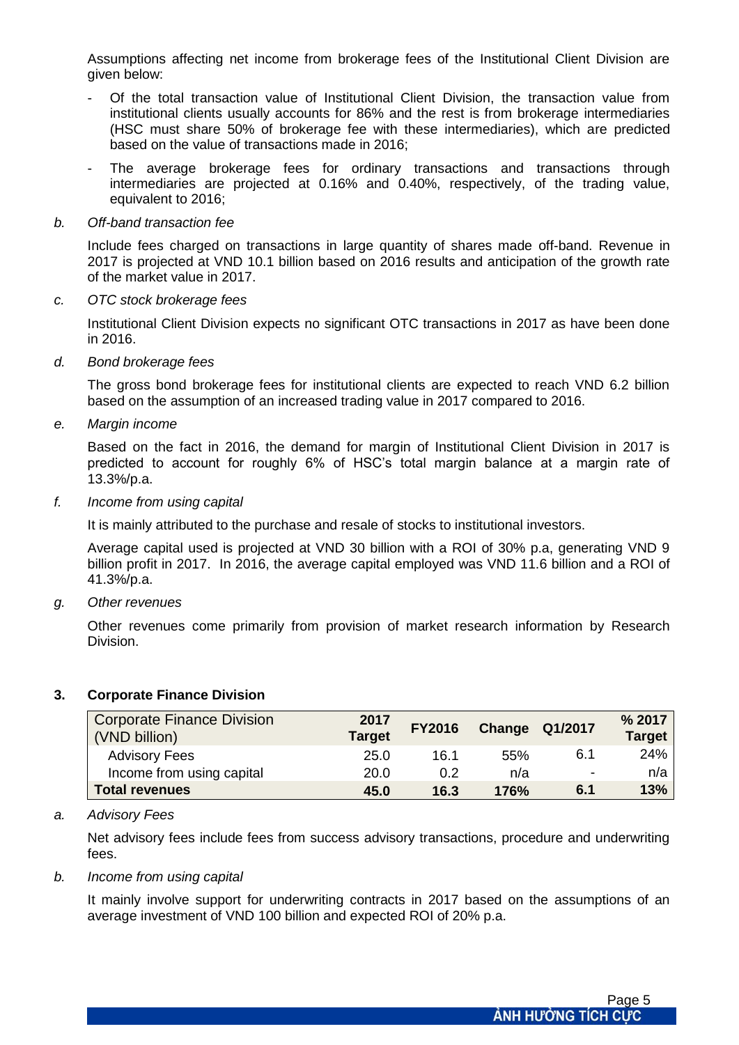Assumptions affecting net income from brokerage fees of the Institutional Client Division are given below:

- Of the total transaction value of Institutional Client Division, the transaction value from institutional clients usually accounts for 86% and the rest is from brokerage intermediaries (HSC must share 50% of brokerage fee with these intermediaries), which are predicted based on the value of transactions made in 2016;
- The average brokerage fees for ordinary transactions and transactions through intermediaries are projected at 0.16% and 0.40%, respectively, of the trading value, equivalent to 2016;

#### *b. Off-band transaction fee*

Include fees charged on transactions in large quantity of shares made off-band. Revenue in 2017 is projected at VND 10.1 billion based on 2016 results and anticipation of the growth rate of the market value in 2017.

#### *c. OTC stock brokerage fees*

Institutional Client Division expects no significant OTC transactions in 2017 as have been done in 2016.

*d. Bond brokerage fees*

The gross bond brokerage fees for institutional clients are expected to reach VND 6.2 billion based on the assumption of an increased trading value in 2017 compared to 2016.

*e. Margin income*

Based on the fact in 2016, the demand for margin of Institutional Client Division in 2017 is predicted to account for roughly 6% of HSC's total margin balance at a margin rate of 13.3%/p.a.

*f. Income from using capital*

It is mainly attributed to the purchase and resale of stocks to institutional investors.

Average capital used is projected at VND 30 billion with a ROI of 30% p.a, generating VND 9 billion profit in 2017. In 2016, the average capital employed was VND 11.6 billion and a ROI of 41.3%/p.a.

*g. Other revenues*

Other revenues come primarily from provision of market research information by Research Division.

| <b>Corporate Finance Division</b><br>(VND billion) | 2017<br><b>Target</b> | <b>FY2016</b> |      | <b>Change Q1/2017</b>    | % 2017<br><b>Target</b> |
|----------------------------------------------------|-----------------------|---------------|------|--------------------------|-------------------------|
| <b>Advisory Fees</b>                               | 25.0                  | 16.1          | 55%  | 6.1                      | 24%                     |
| Income from using capital                          | 20.0                  | 0.2           | n/a  | $\overline{\phantom{a}}$ | n/a                     |
| <b>Total revenues</b>                              | 45.0                  | 16.3          | 176% | 6.1                      | 13%                     |

#### **3. Corporate Finance Division**

#### *a. Advisory Fees*

Net advisory fees include fees from success advisory transactions, procedure and underwriting fees.

#### *b. Income from using capital*

It mainly involve support for underwriting contracts in 2017 based on the assumptions of an average investment of VND 100 billion and expected ROI of 20% p.a.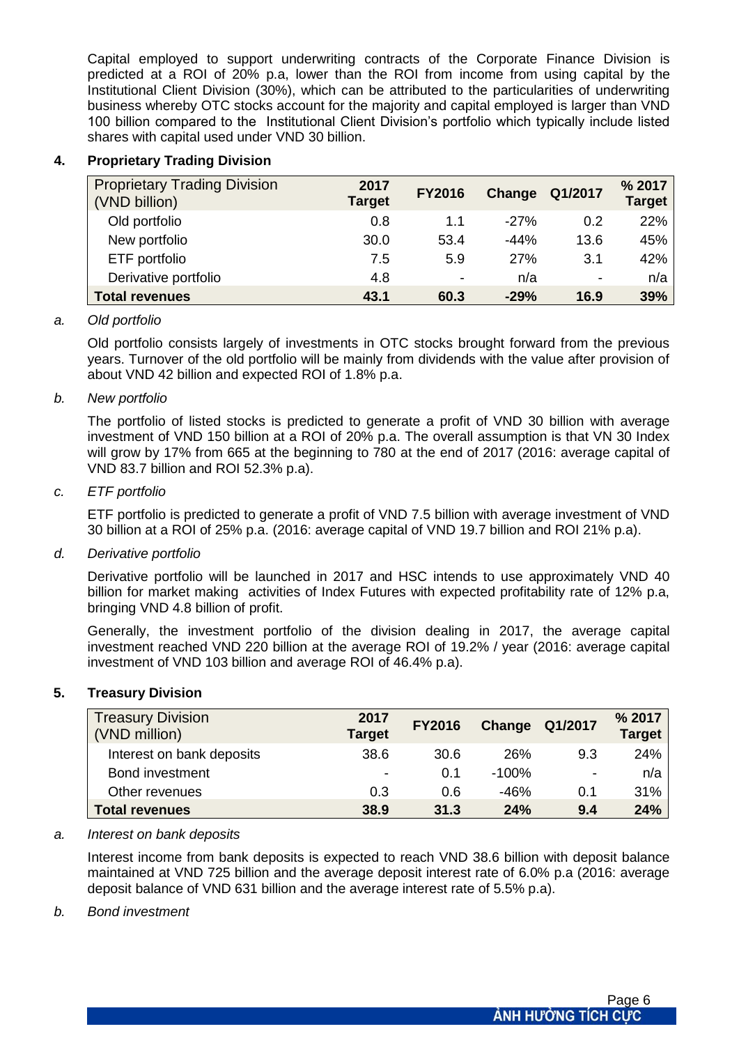Capital employed to support underwriting contracts of the Corporate Finance Division is predicted at a ROI of 20% p.a, lower than the ROI from income from using capital by the Institutional Client Division (30%), which can be attributed to the particularities of underwriting business whereby OTC stocks account for the majority and capital employed is larger than VND 100 billion compared to the Institutional Client Division's portfolio which typically include listed shares with capital used under VND 30 billion.

## **4. Proprietary Trading Division**

| <b>Proprietary Trading Division</b><br>(VND billion) | 2017<br><b>Target</b> | <b>FY2016</b>  | Change | Q1/2017                  | % 2017<br><b>Target</b> |
|------------------------------------------------------|-----------------------|----------------|--------|--------------------------|-------------------------|
| Old portfolio                                        | 0.8                   | 1.1            | $-27%$ | 0.2                      | 22%                     |
| New portfolio                                        | 30.0                  | 53.4           | $-44%$ | 13.6                     | 45%                     |
| ETF portfolio                                        | 7.5                   | 5.9            | 27%    | 3.1                      | 42%                     |
| Derivative portfolio                                 | 4.8                   | $\blacksquare$ | n/a    | $\overline{\phantom{a}}$ | n/a                     |
| <b>Total revenues</b>                                | 43.1                  | 60.3           | $-29%$ | 16.9                     | 39%                     |

#### *a. Old portfolio*

Old portfolio consists largely of investments in OTC stocks brought forward from the previous years. Turnover of the old portfolio will be mainly from dividends with the value after provision of about VND 42 billion and expected ROI of 1.8% p.a.

#### *b. New portfolio*

The portfolio of listed stocks is predicted to generate a profit of VND 30 billion with average investment of VND 150 billion at a ROI of 20% p.a. The overall assumption is that VN 30 Index will grow by 17% from 665 at the beginning to 780 at the end of 2017 (2016: average capital of VND 83.7 billion and ROI 52.3% p.a).

#### *c. ETF portfolio*

ETF portfolio is predicted to generate a profit of VND 7.5 billion with average investment of VND 30 billion at a ROI of 25% p.a. (2016: average capital of VND 19.7 billion and ROI 21% p.a).

#### *d. Derivative portfolio*

Derivative portfolio will be launched in 2017 and HSC intends to use approximately VND 40 billion for market making activities of Index Futures with expected profitability rate of 12% p.a, bringing VND 4.8 billion of profit.

Generally, the investment portfolio of the division dealing in 2017, the average capital investment reached VND 220 billion at the average ROI of 19.2% / year (2016: average capital investment of VND 103 billion and average ROI of 46.4% p.a).

#### **5. Treasury Division**

| <b>Treasury Division</b><br>(VND million) | 2017<br><b>Target</b>    | <b>FY2016</b> | Change  | Q1/2017 | % 2017<br><b>Target</b> |
|-------------------------------------------|--------------------------|---------------|---------|---------|-------------------------|
| Interest on bank deposits                 | 38.6                     | 30.6          | 26%     | 9.3     | 24%                     |
| Bond investment                           | $\overline{\phantom{0}}$ | 0.1           | $-100%$ | ٠       | n/a                     |
| Other revenues                            | 0.3                      | 0.6           | $-46%$  | 0.1     | 31%                     |
| <b>Total revenues</b>                     | 38.9                     | 31.3          | 24%     | 9.4     | 24%                     |

#### *a. Interest on bank deposits*

Interest income from bank deposits is expected to reach VND 38.6 billion with deposit balance maintained at VND 725 billion and the average deposit interest rate of 6.0% p.a (2016: average deposit balance of VND 631 billion and the average interest rate of 5.5% p.a).

#### *b. Bond investment*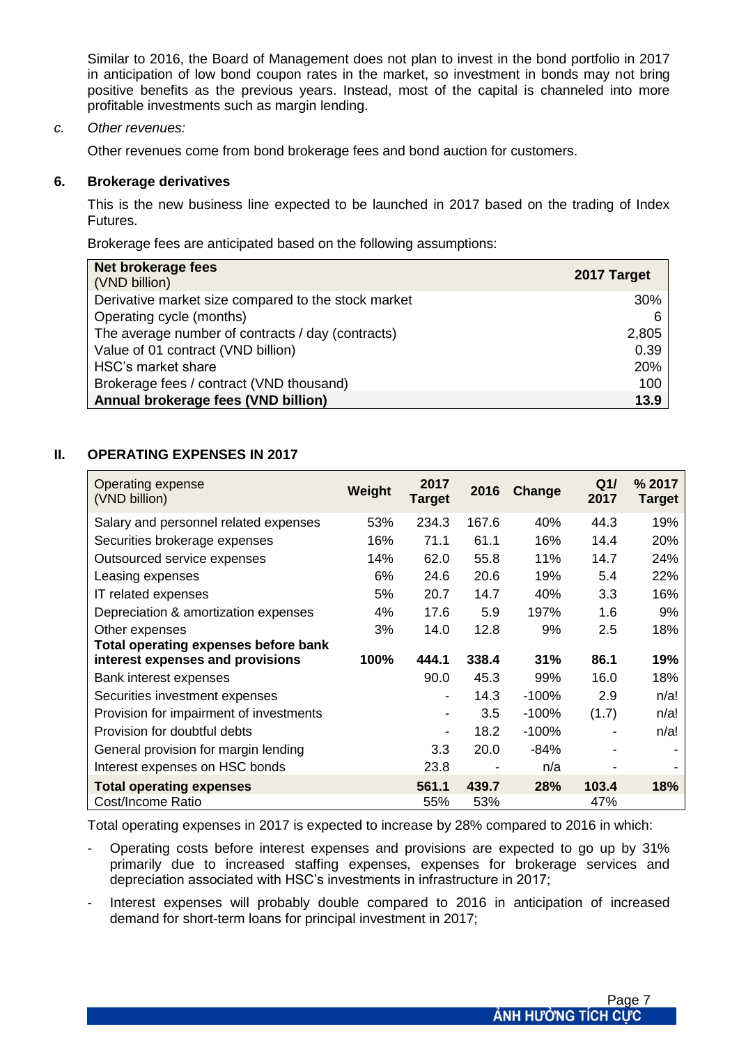Similar to 2016, the Board of Management does not plan to invest in the bond portfolio in 2017 in anticipation of low bond coupon rates in the market, so investment in bonds may not bring positive benefits as the previous years. Instead, most of the capital is channeled into more profitable investments such as margin lending.

#### *c. Other revenues:*

Other revenues come from bond brokerage fees and bond auction for customers.

#### **6. Brokerage derivatives**

This is the new business line expected to be launched in 2017 based on the trading of Index Futures.

Brokerage fees are anticipated based on the following assumptions:

| Net brokerage fees<br>(VND billion)                 | 2017 Target |
|-----------------------------------------------------|-------------|
| Derivative market size compared to the stock market | 30%         |
| Operating cycle (months)                            | 6           |
| The average number of contracts / day (contracts)   | 2,805       |
| Value of 01 contract (VND billion)                  | 0.39        |
| HSC's market share                                  | 20%         |
| Brokerage fees / contract (VND thousand)            | 100         |
| Annual brokerage fees (VND billion)                 | 13.9        |

#### **II. OPERATING EXPENSES IN 2017**

| Operating expense<br>(VND billion)          | Weight | 2017<br><b>Target</b> | 2016  | <b>Change</b> | Q1/<br>2017 | % 2017<br><b>Target</b> |
|---------------------------------------------|--------|-----------------------|-------|---------------|-------------|-------------------------|
| Salary and personnel related expenses       | 53%    | 234.3                 | 167.6 | 40%           | 44.3        | 19%                     |
| Securities brokerage expenses               | 16%    | 71.1                  | 61.1  | 16%           | 14.4        | 20%                     |
| Outsourced service expenses                 | 14%    | 62.0                  | 55.8  | 11%           | 14.7        | 24%                     |
| Leasing expenses                            | 6%     | 24.6                  | 20.6  | 19%           | 5.4         | 22%                     |
| IT related expenses                         | 5%     | 20.7                  | 14.7  | 40%           | 3.3         | 16%                     |
| Depreciation & amortization expenses        | 4%     | 17.6                  | 5.9   | 197%          | 1.6         | 9%                      |
| Other expenses                              | 3%     | 14.0                  | 12.8  | 9%            | 2.5         | 18%                     |
| <b>Total operating expenses before bank</b> |        |                       |       |               |             |                         |
| interest expenses and provisions            | 100%   | 444.1                 | 338.4 | 31%           | 86.1        | 19%                     |
| Bank interest expenses                      |        | 90.0                  | 45.3  | 99%           | 16.0        | 18%                     |
| Securities investment expenses              |        |                       | 14.3  | $-100%$       | 2.9         | n/a!                    |
| Provision for impairment of investments     |        | $\blacksquare$        | 3.5   | $-100%$       | (1.7)       | n/a!                    |
| Provision for doubtful debts                |        | $\blacksquare$        | 18.2  | $-100%$       |             | n/a!                    |
| General provision for margin lending        |        | 3.3                   | 20.0  | -84%          |             |                         |
| Interest expenses on HSC bonds              |        | 23.8                  |       | n/a           |             |                         |
| <b>Total operating expenses</b>             |        | 561.1                 | 439.7 | 28%           | 103.4       | <b>18%</b>              |
| Cost/Income Ratio                           |        | 55%                   | 53%   |               | 47%         |                         |

Total operating expenses in 2017 is expected to increase by 28% compared to 2016 in which:

- Operating costs before interest expenses and provisions are expected to go up by 31% primarily due to increased staffing expenses, expenses for brokerage services and depreciation associated with HSC's investments in infrastructure in 2017;
- Interest expenses will probably double compared to 2016 in anticipation of increased demand for short-term loans for principal investment in 2017;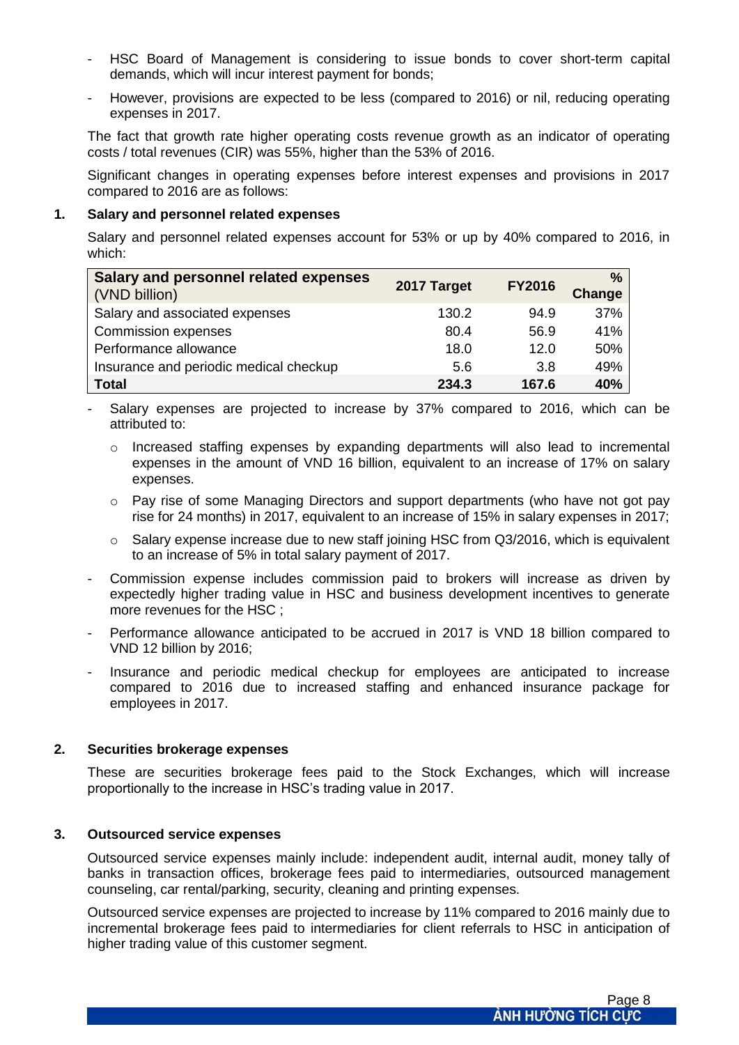- HSC Board of Management is considering to issue bonds to cover short-term capital demands, which will incur interest payment for bonds;
- However, provisions are expected to be less (compared to 2016) or nil, reducing operating expenses in 2017.

The fact that growth rate higher operating costs revenue growth as an indicator of operating costs / total revenues (CIR) was 55%, higher than the 53% of 2016.

Significant changes in operating expenses before interest expenses and provisions in 2017 compared to 2016 are as follows:

#### **1. Salary and personnel related expenses**

Salary and personnel related expenses account for 53% or up by 40% compared to 2016, in which:

| <b>Salary and personnel related expenses</b><br>(VND billion) | 2017 Target | <b>FY2016</b> | $\%$<br>Change |
|---------------------------------------------------------------|-------------|---------------|----------------|
| Salary and associated expenses                                | 130.2       | 94.9          | 37%            |
| <b>Commission expenses</b>                                    | 80.4        | 56.9          | 41%            |
| Performance allowance                                         | 18.0        | 12.0          | 50%            |
| Insurance and periodic medical checkup                        | 5.6         | 3.8           | 49%            |
| <b>Total</b>                                                  | 234.3       | 167.6         | 40%            |

- Salary expenses are projected to increase by 37% compared to 2016, which can be attributed to:
	- o Increased staffing expenses by expanding departments will also lead to incremental expenses in the amount of VND 16 billion, equivalent to an increase of 17% on salary expenses.
	- $\circ$  Pay rise of some Managing Directors and support departments (who have not got pay rise for 24 months) in 2017, equivalent to an increase of 15% in salary expenses in 2017;
	- $\circ$  Salary expense increase due to new staff joining HSC from Q3/2016, which is equivalent to an increase of 5% in total salary payment of 2017.
- Commission expense includes commission paid to brokers will increase as driven by expectedly higher trading value in HSC and business development incentives to generate more revenues for the HSC ;
- Performance allowance anticipated to be accrued in 2017 is VND 18 billion compared to VND 12 billion by 2016;
- Insurance and periodic medical checkup for employees are anticipated to increase compared to 2016 due to increased staffing and enhanced insurance package for employees in 2017.

#### **2. Securities brokerage expenses**

These are securities brokerage fees paid to the Stock Exchanges, which will increase proportionally to the increase in HSC's trading value in 2017.

#### **3. Outsourced service expenses**

Outsourced service expenses mainly include: independent audit, internal audit, money tally of banks in transaction offices, brokerage fees paid to intermediaries, outsourced management counseling, car rental/parking, security, cleaning and printing expenses.

Outsourced service expenses are projected to increase by 11% compared to 2016 mainly due to incremental brokerage fees paid to intermediaries for client referrals to HSC in anticipation of higher trading value of this customer segment.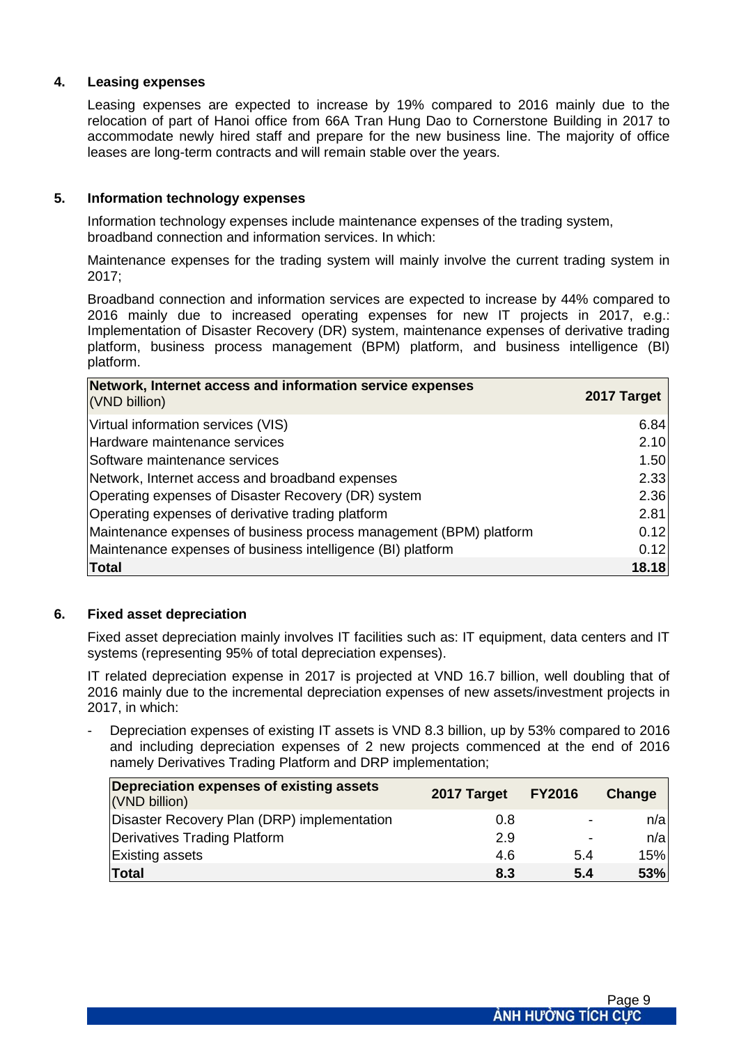#### **4. Leasing expenses**

Leasing expenses are expected to increase by 19% compared to 2016 mainly due to the relocation of part of Hanoi office from 66A Tran Hung Dao to Cornerstone Building in 2017 to accommodate newly hired staff and prepare for the new business line. The majority of office leases are long-term contracts and will remain stable over the years.

#### **5. Information technology expenses**

Information technology expenses include maintenance expenses of the trading system, broadband connection and information services. In which:

Maintenance expenses for the trading system will mainly involve the current trading system in 2017;

Broadband connection and information services are expected to increase by 44% compared to 2016 mainly due to increased operating expenses for new IT projects in 2017, e.g.: Implementation of Disaster Recovery (DR) system, maintenance expenses of derivative trading platform, business process management (BPM) platform, and business intelligence (BI) platform.

| Network, Internet access and information service expenses<br>(VND billion) | 2017 Target |
|----------------------------------------------------------------------------|-------------|
| Virtual information services (VIS)                                         | 6.84        |
| Hardware maintenance services                                              | 2.10        |
| Software maintenance services                                              | 1.50        |
| Network, Internet access and broadband expenses                            | 2.33        |
| Operating expenses of Disaster Recovery (DR) system                        | 2.36        |
| Operating expenses of derivative trading platform                          | 2.81        |
| Maintenance expenses of business process management (BPM) platform         | 0.12        |
| Maintenance expenses of business intelligence (BI) platform                | 0.12        |
| <b>Total</b>                                                               | 18.18       |

#### **6. Fixed asset depreciation**

Fixed asset depreciation mainly involves IT facilities such as: IT equipment, data centers and IT systems (representing 95% of total depreciation expenses).

IT related depreciation expense in 2017 is projected at VND 16.7 billion, well doubling that of 2016 mainly due to the incremental depreciation expenses of new assets/investment projects in 2017, in which:

Depreciation expenses of existing IT assets is VND 8.3 billion, up by 53% compared to 2016 and including depreciation expenses of 2 new projects commenced at the end of 2016 namely Derivatives Trading Platform and DRP implementation;

| Depreciation expenses of existing assets<br>(VND billion) | 2017 Target | <b>FY2016</b> | Change |
|-----------------------------------------------------------|-------------|---------------|--------|
| Disaster Recovery Plan (DRP) implementation               | 0.8         |               | n/a    |
| Derivatives Trading Platform                              | 2.9         | -             | n/a    |
| <b>Existing assets</b>                                    | 4.6         | 5.4           | 15%    |
| Total                                                     | 8.3         | 5.4           | 53%    |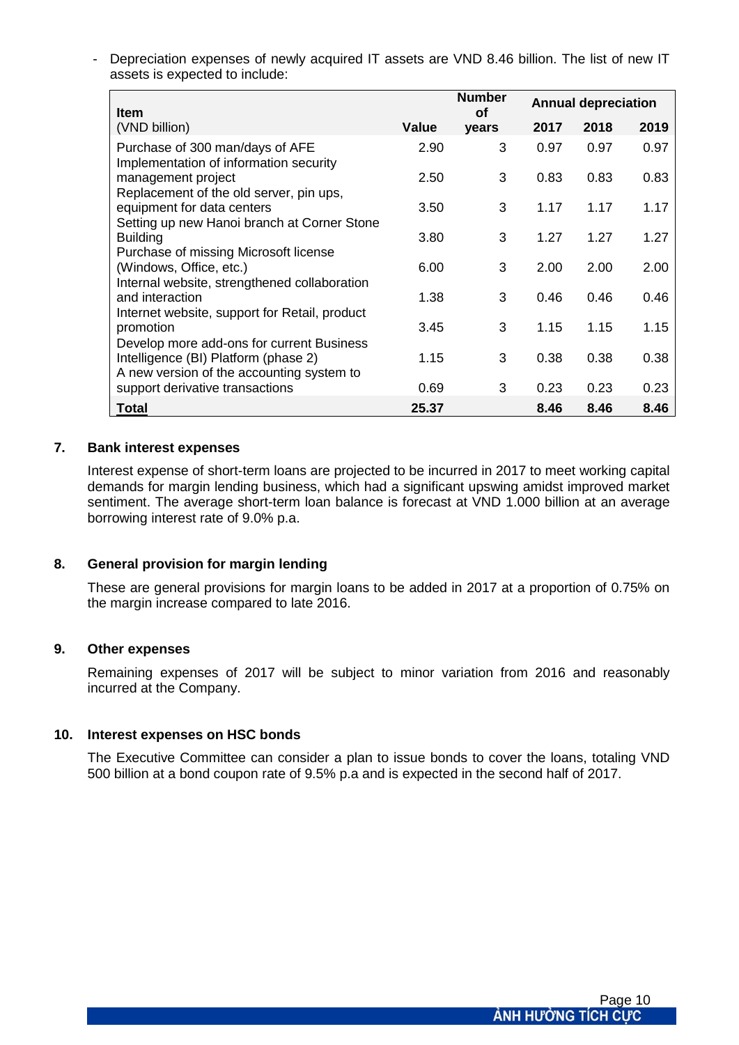- Depreciation expenses of newly acquired IT assets are VND 8.46 billion. The list of new IT assets is expected to include:

| <b>Item</b>                                                                       |              | <b>Number</b><br>Οf | <b>Annual depreciation</b> |      |      |
|-----------------------------------------------------------------------------------|--------------|---------------------|----------------------------|------|------|
| (VND billion)                                                                     | <b>Value</b> | years               | 2017                       | 2018 | 2019 |
| Purchase of 300 man/days of AFE<br>Implementation of information security         | 2.90         | 3                   | 0.97                       | 0.97 | 0.97 |
| management project<br>Replacement of the old server, pin ups,                     | 2.50         | 3                   | 0.83                       | 0.83 | 0.83 |
| equipment for data centers<br>Setting up new Hanoi branch at Corner Stone         | 3.50         | 3                   | 1.17                       | 1.17 | 1.17 |
| <b>Building</b>                                                                   | 3.80         | 3                   | 1.27                       | 1.27 | 1.27 |
| Purchase of missing Microsoft license<br>(Windows, Office, etc.)                  | 6.00         | 3                   | 2.00                       | 2.00 | 2.00 |
| Internal website, strengthened collaboration<br>and interaction                   | 1.38         | 3                   | 0.46                       | 0.46 | 0.46 |
| Internet website, support for Retail, product<br>promotion                        | 3.45         | 3                   | 1.15                       | 1.15 | 1.15 |
| Develop more add-ons for current Business<br>Intelligence (BI) Platform (phase 2) | 1.15         | 3                   | 0.38                       | 0.38 | 0.38 |
| A new version of the accounting system to<br>support derivative transactions      | 0.69         | 3                   | 0.23                       | 0.23 | 0.23 |
| <b>Total</b>                                                                      | 25.37        |                     | 8.46                       | 8.46 | 8.46 |

#### **7. Bank interest expenses**

Interest expense of short-term loans are projected to be incurred in 2017 to meet working capital demands for margin lending business, which had a significant upswing amidst improved market sentiment. The average short-term loan balance is forecast at VND 1.000 billion at an average borrowing interest rate of 9.0% p.a.

#### **8. General provision for margin lending**

These are general provisions for margin loans to be added in 2017 at a proportion of 0.75% on the margin increase compared to late 2016.

#### **9. Other expenses**

Remaining expenses of 2017 will be subject to minor variation from 2016 and reasonably incurred at the Company.

#### **10. Interest expenses on HSC bonds**

The Executive Committee can consider a plan to issue bonds to cover the loans, totaling VND 500 billion at a bond coupon rate of 9.5% p.a and is expected in the second half of 2017.